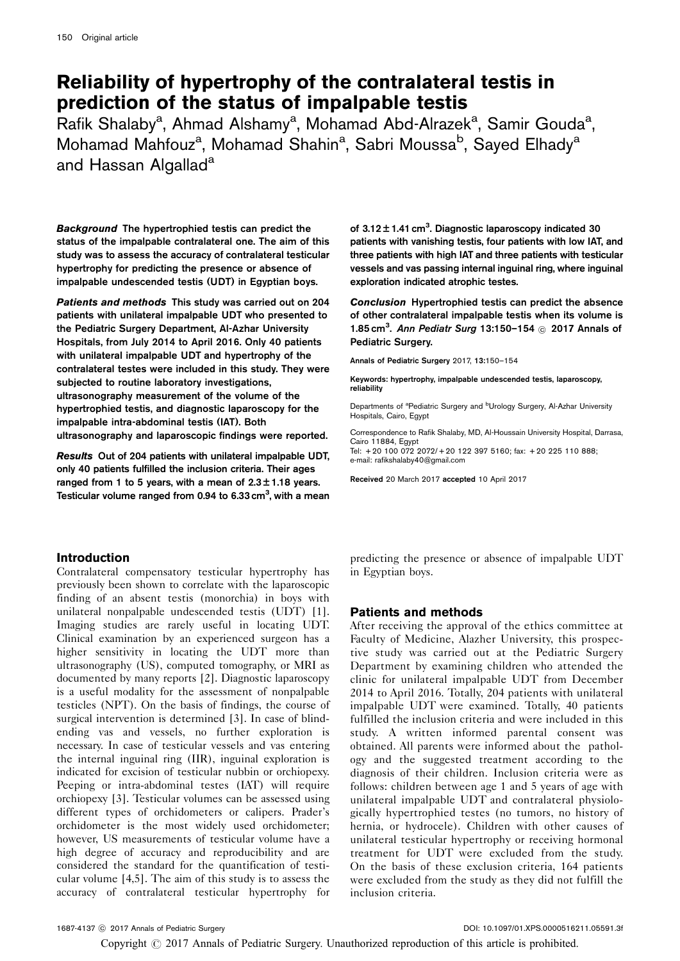# Reliability of hypertrophy of the contralateral testis in prediction of the status of impalpable testis

Rafik Shalaby<sup>a</sup>, Ahmad Alshamy<sup>a</sup>, Mohamad Abd-Alrazek<sup>a</sup>, Samir Gouda<sup>a</sup>, Mohamad Mahfouz<sup>a</sup>, Mohamad Shahin<sup>a</sup>, Sabri Moussa<sup>b</sup>, Sayed Elhady<sup>a</sup> and Hassan Algallad<sup>a</sup>

Background The hypertrophied testis can predict the status of the impalpable contralateral one. The aim of this study was to assess the accuracy of contralateral testicular hypertrophy for predicting the presence or absence of impalpable undescended testis (UDT) in Egyptian boys.

Patients and methods This study was carried out on 204 patients with unilateral impalpable UDT who presented to the Pediatric Surgery Department, Al-Azhar University Hospitals, from July 2014 to April 2016. Only 40 patients with unilateral impalpable UDT and hypertrophy of the contralateral testes were included in this study. They were subjected to routine laboratory investigations, ultrasonography measurement of the volume of the hypertrophied testis, and diagnostic laparoscopy for the impalpable intra-abdominal testis (IAT). Both ultrasonography and laparoscopic findings were reported.

Results Out of 204 patients with unilateral impalpable UDT, only 40 patients fulfilled the inclusion criteria. Their ages ranged from 1 to 5 years, with a mean of  $2.3 \pm 1.18$  years. Testicular volume ranged from 0.94 to 6.33 cm<sup>3</sup>, with a mean

# Introduction

Contralateral compensatory testicular hypertrophy has previously been shown to correlate with the laparoscopic finding of an absent testis (monorchia) in boys with unilateral nonpalpable undescended testis (UDT) [\[1](#page-3-0)]. Imaging studies are rarely useful in locating UDT. Clinical examination by an experienced surgeon has a higher sensitivity in locating the UDT more than ultrasonography (US), computed tomography, or MRI as documented by many reports [\[2](#page-3-0)]. Diagnostic laparoscopy is a useful modality for the assessment of nonpalpable testicles (NPT). On the basis of findings, the course of surgical intervention is determined [\[3\]](#page-3-0). In case of blindending vas and vessels, no further exploration is necessary. In case of testicular vessels and vas entering the internal inguinal ring (IIR), inguinal exploration is indicated for excision of testicular nubbin or orchiopexy. Peeping or intra-abdominal testes (IAT) will require orchiopexy [\[3\]](#page-3-0). Testicular volumes can be assessed using different types of orchidometers or calipers. Prader's orchidometer is the most widely used orchidometer; however, US measurements of testicular volume have a high degree of accuracy and reproducibility and are considered the standard for the quantification of testicular volume [\[4,5\]](#page-4-0). The aim of this study is to assess the accuracy of contralateral testicular hypertrophy for

of  $3.12 \pm 1.41$  cm<sup>3</sup>. Diagnostic laparoscopy indicated 30 patients with vanishing testis, four patients with low IAT, and three patients with high IAT and three patients with testicular vessels and vas passing internal inguinal ring, where inguinal exploration indicated atrophic testes.

Conclusion Hypertrophied testis can predict the absence of other contralateral impalpable testis when its volume is 1.85 cm<sup>3</sup>. Ann Pediatr Surg 13:150-154  $\odot$  2017 Annals of Pediatric Surgery.

Annals of Pediatric Surgery 2017, 13:150–154

Keywords: hypertrophy, impalpable undescended testis, laparoscopy, reliability

Departments of <sup>a</sup>Pediatric Surgery and <sup>b</sup>Urology Surgery, Al-Azhar University Hospitals, Cairo, Egypt

Correspondence to Rafik Shalaby, MD, Al-Houssain University Hospital, Darrasa, Cairo 11884, Egypt Tel: + 20 100 072 2072/ + 20 122 397 5160; fax: + 20 225 110 888; e-mail: [rafikshalaby40@gmail.com](mailto:rafikshalaby40@gmail.com)

Received 20 March 2017 accepted 10 April 2017

predicting the presence or absence of impalpable UDT in Egyptian boys.

# Patients and methods

After receiving the approval of the ethics committee at Faculty of Medicine, Alazher University, this prospective study was carried out at the Pediatric Surgery Department by examining children who attended the clinic for unilateral impalpable UDT from December 2014 to April 2016. Totally, 204 patients with unilateral impalpable UDT were examined. Totally, 40 patients fulfilled the inclusion criteria and were included in this study. A written informed parental consent was obtained. All parents were informed about the pathology and the suggested treatment according to the diagnosis of their children. Inclusion criteria were as follows: children between age 1 and 5 years of age with unilateral impalpable UDT and contralateral physiologically hypertrophied testes (no tumors, no history of hernia, or hydrocele). Children with other causes of unilateral testicular hypertrophy or receiving hormonal treatment for UDT were excluded from the study. On the basis of these exclusion criteria, 164 patients were excluded from the study as they did not fulfill the inclusion criteria.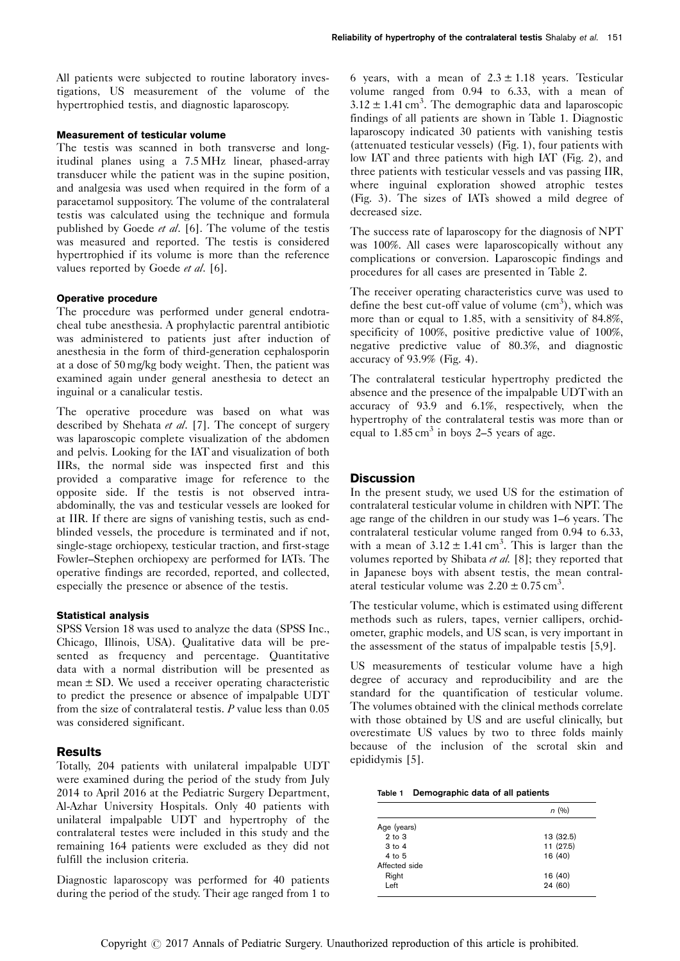All patients were subjected to routine laboratory investigations, US measurement of the volume of the hypertrophied testis, and diagnostic laparoscopy.

## Measurement of testicular volume

The testis was scanned in both transverse and longitudinal planes using a 7.5 MHz linear, phased-array transducer while the patient was in the supine position, and analgesia was used when required in the form of a paracetamol suppository. The volume of the contralateral testis was calculated using the technique and formula published by Goede et al.  $[6]$ . The volume of the testis was measured and reported. The testis is considered hypertrophied if its volume is more than the reference values reported by Goede et al. [\[6](#page-4-0)].

# Operative procedure

The procedure was performed under general endotracheal tube anesthesia. A prophylactic parentral antibiotic was administered to patients just after induction of anesthesia in the form of third-generation cephalosporin at a dose of 50 mg/kg body weight. Then, the patient was examined again under general anesthesia to detect an inguinal or a canalicular testis.

The operative procedure was based on what was described by Shehata et al. [\[7](#page-4-0)]. The concept of surgery was laparoscopic complete visualization of the abdomen and pelvis. Looking for the IAT and visualization of both IIRs, the normal side was inspected first and this provided a comparative image for reference to the opposite side. If the testis is not observed intraabdominally, the vas and testicular vessels are looked for at IIR. If there are signs of vanishing testis, such as endblinded vessels, the procedure is terminated and if not, single-stage orchiopexy, testicular traction, and first-stage Fowler–Stephen orchiopexy are performed for IATs. The operative findings are recorded, reported, and collected, especially the presence or absence of the testis.

# Statistical analysis

SPSS Version 18 was used to analyze the data (SPSS Inc., Chicago, Illinois, USA). Qualitative data will be presented as frequency and percentage. Quantitative data with a normal distribution will be presented as mean  $\pm$  SD. We used a receiver operating characteristic to predict the presence or absence of impalpable UDT from the size of contralateral testis.  $P$  value less than  $0.05$ was considered significant.

# Results

Totally, 204 patients with unilateral impalpable UDT were examined during the period of the study from July 2014 to April 2016 at the Pediatric Surgery Department, Al-Azhar University Hospitals. Only 40 patients with unilateral impalpable UDT and hypertrophy of the contralateral testes were included in this study and the remaining 164 patients were excluded as they did not fulfill the inclusion criteria.

Diagnostic laparoscopy was performed for 40 patients during the period of the study. Their age ranged from 1 to

6 years, with a mean of  $2.3 \pm 1.18$  years. Testicular volume ranged from 0.94 to 6.33, with a mean of  $3.12 \pm 1.41$  cm<sup>3</sup>. The demographic data and laparoscopic findings of all patients are shown in Table 1. Diagnostic laparoscopy indicated 30 patients with vanishing testis (attenuated testicular vessels) [\(Fig. 1](#page-2-0)), four patients with low IAT and three patients with high IAT [\(Fig. 2](#page-2-0)), and three patients with testicular vessels and vas passing IIR, where inguinal exploration showed atrophic testes ([Fig. 3](#page-2-0)). The sizes of IATs showed a mild degree of decreased size.

The success rate of laparoscopy for the diagnosis of NPT was 100%. All cases were laparoscopically without any complications or conversion. Laparoscopic findings and procedures for all cases are presented in [Table 2.](#page-3-0)

The receiver operating characteristics curve was used to define the best cut-off value of volume  $(cm<sup>3</sup>)$ , which was more than or equal to 1.85, with a sensitivity of 84.8%, specificity of 100%, positive predictive value of 100%, negative predictive value of 80.3%, and diagnostic accuracy of 93.9% ([Fig. 4](#page-3-0)).

The contralateral testicular hypertrophy predicted the absence and the presence of the impalpable UDTwith an accuracy of 93.9 and 6.1%, respectively, when the hypertrophy of the contralateral testis was more than or equal to  $1.85 \text{ cm}^3$  in boys 2–5 years of age.

# **Discussion**

In the present study, we used US for the estimation of contralateral testicular volume in children with NPT. The age range of the children in our study was 1–6 years. The contralateral testicular volume ranged from 0.94 to 6.33, with a mean of  $3.12 \pm 1.41$  cm<sup>3</sup>. This is larger than the volumes reported by Shibata et al. [\[8](#page-4-0)]; they reported that in Japanese boys with absent testis, the mean contralateral testicular volume was  $2.20 \pm 0.75$  cm<sup>3</sup>.

The testicular volume, which is estimated using different methods such as rulers, tapes, vernier callipers, orchidometer, graphic models, and US scan, is very important in the assessment of the status of impalpable testis [\[5,9](#page-4-0)].

US measurements of testicular volume have a high degree of accuracy and reproducibility and are the standard for the quantification of testicular volume. The volumes obtained with the clinical methods correlate with those obtained by US and are useful clinically, but overestimate US values by two to three folds mainly because of the inclusion of the scrotal skin and epididymis [\[5\]](#page-4-0).

|  | Table 1 Demographic data of all patients |  |  |  |
|--|------------------------------------------|--|--|--|
|--|------------------------------------------|--|--|--|

|               | n(%)      |
|---------------|-----------|
| Age (years)   |           |
| $2$ to $3$    | 13 (32.5) |
| 3 to 4        | 11 (27.5) |
| 4 to 5        | 16 (40)   |
| Affected side |           |
| Right         | 16 (40)   |
| Left          | 24 (60)   |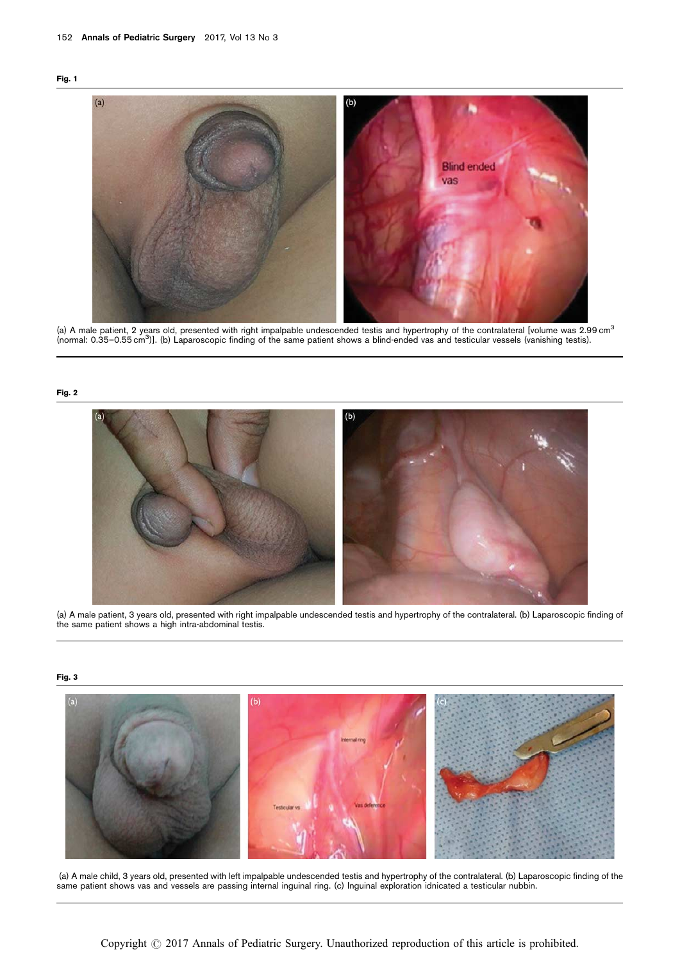<span id="page-2-0"></span>



(a) A male patient, 2 years old, presented with right impalpable undescended testis and hypertrophy of the contralateral [volume was 2.99 cm $^3$ (normal: 0.35–0.55 cm3 )]. (b) Laparoscopic finding of the same patient shows a blind-ended vas and testicular vessels (vanishing testis).

### Fig. 2



(a) A male patient, 3 years old, presented with right impalpable undescended testis and hypertrophy of the contralateral. (b) Laparoscopic finding of the same patient shows a high intra-abdominal testis.

# Fig. 3



(a) A male child, 3 years old, presented with left impalpable undescended testis and hypertrophy of the contralateral. (b) Laparoscopic finding of the same patient shows vas and vessels are passing internal inguinal ring. (c) Inguinal exploration idnicated a testicular nubbin.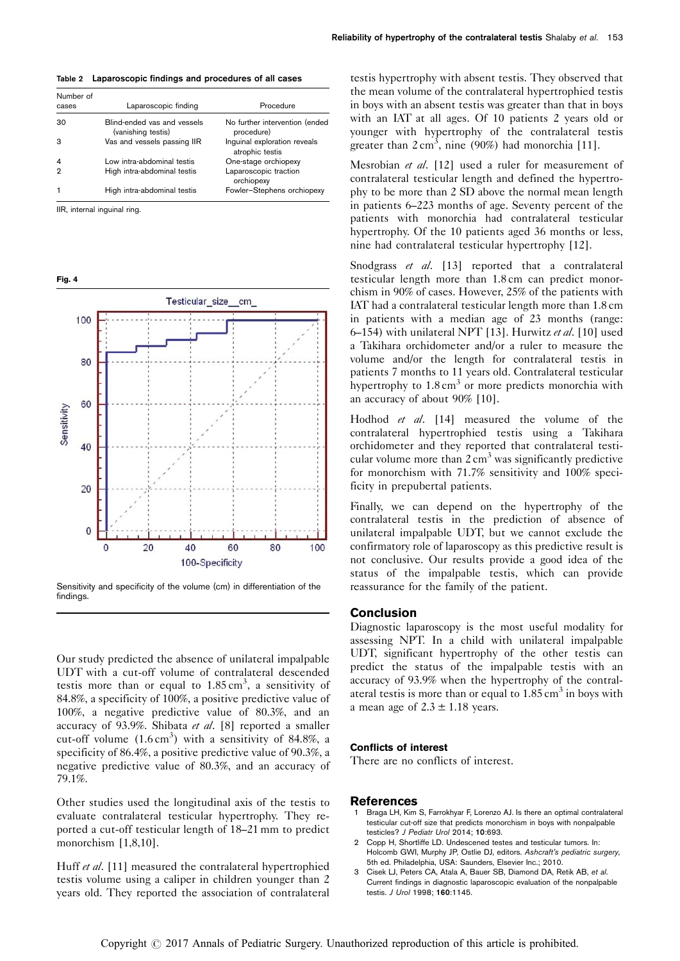<span id="page-3-0"></span>

| Number of      |                                                   | Procedure                                       |
|----------------|---------------------------------------------------|-------------------------------------------------|
| cases          | Laparoscopic finding                              |                                                 |
| 30             | Blind-ended vas and vessels<br>(vanishing testis) | No further intervention (ended<br>procedure)    |
| з              | Vas and vessels passing IIR                       | Inquinal exploration reveals<br>atrophic testis |
| $\overline{4}$ | Low intra-abdominal testis                        | One-stage orchiopexy                            |
| っ              | High intra-abdominal testis                       | Laparoscopic traction<br>orchiopexy             |
|                | High intra-abdominal testis                       | Fowler-Stephens orchiopexy                      |

IIR, internal inguinal ring.

| ×<br>۰, |  |
|---------|--|
|         |  |



Sensitivity and specificity of the volume (cm) in differentiation of the findings.

Our study predicted the absence of unilateral impalpable UDT with a cut-off volume of contralateral descended testis more than or equal to  $1.85 \text{ cm}^3$ , a sensitivity of 84.8%, a specificity of 100%, a positive predictive value of 100%, a negative predictive value of 80.3%, and an accuracy of 93.9%. Shibata et al. [\[8\]](#page-4-0) reported a smaller cut-off volume  $(1.6 \text{ cm}^3)$  with a sensitivity of 84.8%, a specificity of 86.4%, a positive predictive value of 90.3%, a negative predictive value of 80.3%, and an accuracy of 79.1%.

Other studies used the longitudinal axis of the testis to evaluate contralateral testicular hypertrophy. They reported a cut-off testicular length of 18–21 mm to predict monorchism [1,8,10].

Huff et al. [\[11\]](#page-4-0) measured the contralateral hypertrophied testis volume using a caliper in children younger than 2 years old. They reported the association of contralateral

testis hypertrophy with absent testis. They observed that the mean volume of the contralateral hypertrophied testis in boys with an absent testis was greater than that in boys with an IAT at all ages. Of 10 patients 2 years old or younger with hypertrophy of the contralateral testis greater than  $2 \text{ cm}^3$ , nine (90%) had monorchia [\[11](#page-4-0)].

Mesrobian et al. [\[12\]](#page-4-0) used a ruler for measurement of contralateral testicular length and defined the hypertrophy to be more than 2 SD above the normal mean length in patients 6–223 months of age. Seventy percent of the patients with monorchia had contralateral testicular hypertrophy. Of the 10 patients aged 36 months or less, nine had contralateral testicular hypertrophy [\[12\]](#page-4-0).

Snodgrass et al. [\[13\]](#page-4-0) reported that a contralateral testicular length more than 1.8 cm can predict monorchism in 90% of cases. However, 25% of the patients with IAT had a contralateral testicular length more than 1.8 cm in patients with a median age of 23 months (range: 6–154) with unilateral NPT [\[13](#page-4-0)]. Hurwitz et al. [\[10\]](#page-4-0) used a Takihara orchidometer and/or a ruler to measure the volume and/or the length for contralateral testis in patients 7 months to 11 years old. Contralateral testicular hypertrophy to  $1.8 \text{ cm}^3$  or more predicts monorchia with an accuracy of about 90% [\[10\]](#page-4-0).

Hodhod et al. [\[14](#page-4-0)] measured the volume of the contralateral hypertrophied testis using a Takihara orchidometer and they reported that contralateral testicular volume more than  $2 \text{ cm}^3$  was significantly predictive for monorchism with 71.7% sensitivity and 100% specificity in prepubertal patients.

Finally, we can depend on the hypertrophy of the contralateral testis in the prediction of absence of unilateral impalpable UDT, but we cannot exclude the confirmatory role of laparoscopy as this predictive result is not conclusive. Our results provide a good idea of the status of the impalpable testis, which can provide reassurance for the family of the patient.

#### **Conclusion**

Diagnostic laparoscopy is the most useful modality for assessing NPT. In a child with unilateral impalpable UDT, significant hypertrophy of the other testis can predict the status of the impalpable testis with an accuracy of 93.9% when the hypertrophy of the contralateral testis is more than or equal to  $1.85 \text{ cm}^3$  in boys with a mean age of  $2.3 \pm 1.18$  years.

## Conflicts of interest

There are no conflicts of interest.

#### References

- Braga LH, Kim S, Farrokhyar F, Lorenzo AJ. Is there an optimal contralateral testicular cut-off size that predicts monorchism in boys with nonpalpable testicles? J Pediatr Urol 2014; 10:693.
- 2 Copp H, Shortliffe LD. Undescened testes and testicular tumors. In: Holcomb GWI, Murphy JP, Ostlie DJ, editors. Ashcraft's pediatric surgery, 5th ed. Philadelphia, USA: Saunders, Elsevier Inc.; 2010.
- 3 Cisek LJ, Peters CA, Atala A, Bauer SB, Diamond DA, Retik AB, et al. Current findings in diagnostic laparoscopic evaluation of the nonpalpable testis. J Urol 1998; 160:1145.